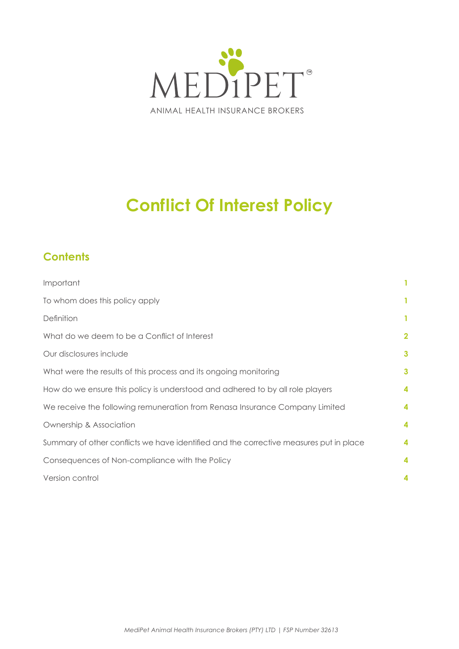

# **Conflict Of Interest Policy**

# **Contents**

| Important                                                                              | 1                       |
|----------------------------------------------------------------------------------------|-------------------------|
| To whom does this policy apply                                                         | 1.                      |
| Definition                                                                             | $\mathbf{1}$            |
| What do we deem to be a Conflict of Interest                                           | $\overline{\mathbf{2}}$ |
| Our disclosures include                                                                | 3                       |
| What were the results of this process and its ongoing monitoring                       | 3                       |
| How do we ensure this policy is understood and adhered to by all role players          | 4                       |
| We receive the following remuneration from Renasa Insurance Company Limited            | 4                       |
| Ownership & Association                                                                | 4                       |
| Summary of other conflicts we have identified and the corrective measures put in place | 4                       |
| Consequences of Non-compliance with the Policy                                         |                         |
| Version control                                                                        |                         |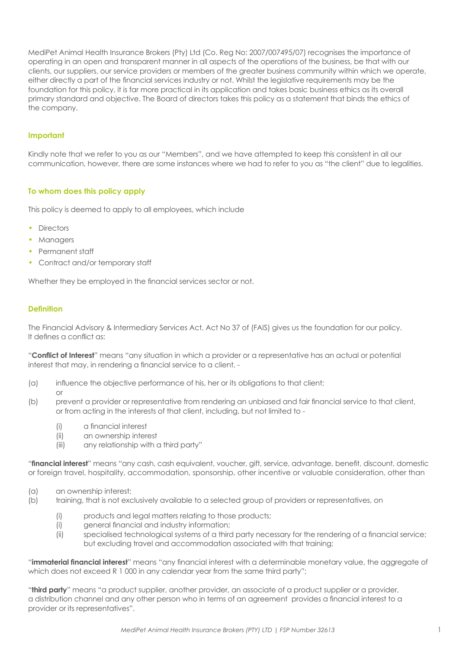<span id="page-1-0"></span>MediPet Animal Health Insurance Brokers (Pty) Ltd (Co. Reg No: 2007/007495/07) recognises the importance of operating in an open and transparent manner in all aspects of the operations of the business, be that with our clients, our suppliers, our service providers or members of the greater business community within which we operate, either directly a part of the financial services industry or not. Whilst the legislative requirements may be the foundation for this policy, it is far more practical in its application and takes basic business ethics as its overall primary standard and objective. The Board of directors takes this policy as a statement that binds the ethics of the company.

# **Important**

Kindly note that we refer to you as our "Members", and we have attempted to keep this consistent in all our communication, however, there are some instances where we had to refer to you as "the client" due to legalities.

# **To whom does this policy apply**

This policy is deemed to apply to all employees, which include

- Directors
- Managers
- Permanent staff
- Contract and/or temporary staff

Whether they be employed in the financial services sector or not.

# **Definition**

The Financial Advisory & Intermediary Services Act, Act No 37 of (FAIS) gives us the foundation for our policy. It defines a conflict as:

"**Conflict of Interest**" means "any situation in which a provider or a representative has an actual or potential interest that may, in rendering a financial service to a client, -

- (a) influence the objective performance of his, her or its obligations to that client; or
- (b) prevent a provider or representative from rendering an unbiased and fair financial service to that client, or from acting in the interests of that client, including, but not limited to -
	- (i) a financial interest
	- (ii) an ownership interest
	- (iii) any relationship with a third party"

"**financial interest**" means "any cash, cash equivalent, voucher, gift, service, advantage, benefit, discount, domestic or foreign travel, hospitality, accommodation, sponsorship, other incentive or valuable consideration, other than

- (a) an ownership interest;
- (b) training, that is not exclusively available to a selected group of providers or representatives, on
	- (i) products and legal matters relating to those products;
	- (i) general financial and industry information;
	- (ii) specialised technological systems of a third party necessary for the rendering of a financial service; but excluding travel and accommodation associated with that training;

"**immaterial financial interest**" means "any financial interest with a determinable monetary value, the aggregate of which does not exceed R 1 000 in any calendar year from the same third party";

"**third party**" means "a product supplier, another provider, an associate of a product supplier or a provider, a distribution channel and any other person who in terms of an agreement provides a financial interest to a provider or its representatives".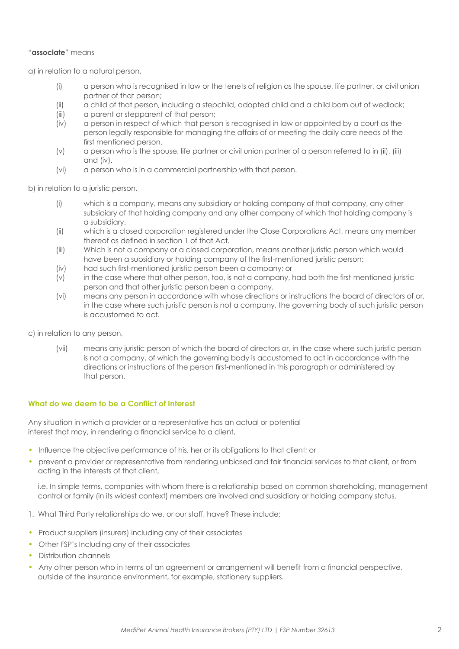# <span id="page-2-0"></span>"**associate**" means

a) in relation to a natural person,

- (i) a person who is recognised in law or the tenets of religion as the spouse, life partner, or civil union partner of that person;
- (ii) a child of that person, including a stepchild, adopted child and a child born out of wedlock;
- (iii) a parent or stepparent of that person;
- (iv) a person in respect of which that person is recognised in law or appointed by a court as the person legally responsible for managing the affairs of or meeting the daily care needs of the first mentioned person.
- (v) a person who is the spouse, life partner or civil union partner of a person referred to in (ii), (iii) and (iv).
- (vi) a person who is in a commercial partnership with that person.

b) in relation to a juristic person,

- (i) which is a company, means any subsidiary or holding company of that company, any other subsidiary of that holding company and any other company of which that holding company is a subsidiary.
- (ii) which is a closed corporation registered under the Close Corporations Act, means any member thereof as defined in section 1 of that Act.
- (iii) Which is not a company or a closed corporation, means another juristic person which would have been a subsidiary or holding company of the first-mentioned juristic person:
- (iv) had such first-mentioned juristic person been a company; or
- (v) in the case where that other person, too, is not a company, had both the first-mentioned juristic person and that other juristic person been a company.
- (vi) means any person in accordance with whose directions or instructions the board of directors of or, in the case where such juristic person is not a company, the governing body of such juristic person is accustomed to act.

c) in relation to any person,

(vii) means any juristic person of which the board of directors or, in the case where such juristic person is not a company, of which the governing body is accustomed to act in accordance with the directions or instructions of the person first-mentioned in this paragraph or administered by that person.

# **What do we deem to be a Conflict of Interest**

Any situation in which a provider or a representative has an actual or potential interest that may, in rendering a financial service to a client,

- Influence the objective performance of his, her or its obligations to that client; or
- prevent a provider or representative from rendering unbiased and fair financial services to that client, or from acting in the interests of that client,

 i.e. In simple terms, companies with whom there is a relationship based on common shareholding, management control or family (in its widest context) members are involved and subsidiary or holding company status.

- 1. What Third Party relationships do we, or our staff, have? These include:
- Product suppliers (insurers) including any of their associates
- Other FSP's Including any of their associates
- Distribution channels
- Any other person who in terms of an agreement or arrangement will benefit from a financial perspective, outside of the insurance environment, for example, stationery suppliers.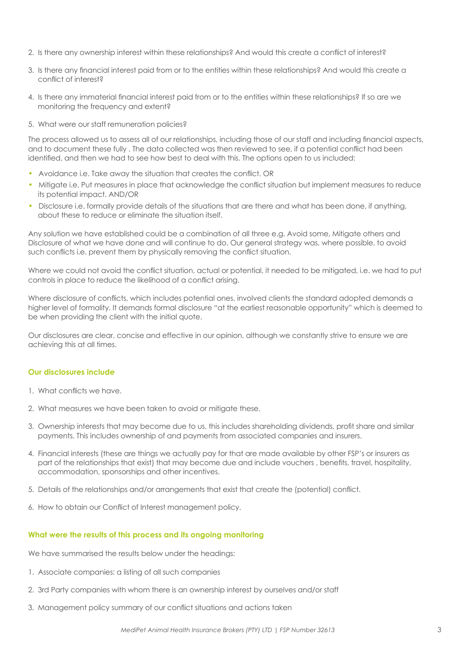- <span id="page-3-0"></span>2. Is there any ownership interest within these relationships? And would this create a conflict of interest?
- 3. Is there any financial interest paid from or to the entities within these relationships? And would this create a conflict of interest?
- 4. Is there any immaterial financial interest paid from or to the entities within these relationships? If so are we monitoring the frequency and extent?
- 5. What were our staff remuneration policies?

The process allowed us to assess all of our relationships, including those of our staff and including financial aspects, and to document these fully . The data collected was then reviewed to see, if a potential conflict had been identified, and then we had to see how best to deal with this. The options open to us included:

- Avoidance i.e. Take away the situation that creates the conflict. OR
- Mitigate i.e. Put measures in place that acknowledge the conflict situation but implement measures to reduce its potential impact. AND/OR
- Disclosure i.e. formally provide details of the situations that are there and what has been done, if anything, about these to reduce or eliminate the situation itself.

Any solution we have established could be a combination of all three e.g. Avoid some, Mitigate others and Disclosure of what we have done and will continue to do. Our general strategy was, where possible, to avoid such conflicts i.e. prevent them by physically removing the conflict situation.

Where we could not avoid the conflict situation, actual or potential, it needed to be mitigated, i.e. we had to put controls in place to reduce the likelihood of a conflict arising.

Where disclosure of conflicts, which includes potential ones, involved clients the standard adopted demands a higher level of formality. It demands formal disclosure "at the earliest reasonable opportunity" which is deemed to be when providing the client with the initial quote.

Our disclosures are clear, concise and effective in our opinion, although we constantly strive to ensure we are achieving this at all times.

# **Our disclosures include**

- 1. What conflicts we have.
- 2. What measures we have been taken to avoid or mitigate these.
- 3. Ownership interests that may become due to us, this includes shareholding dividends, profit share and similar payments. This includes ownership of and payments from associated companies and insurers.
- 4. Financial interests (these are things we actually pay for that are made available by other FSP's or insurers as part of the relationships that exist) that may become due and include vouchers , benefits, travel, hospitality, accommodation, sponsorships and other incentives.
- 5. Details of the relationships and/or arrangements that exist that create the (potential) conflict.
- 6. How to obtain our Conflict of Interest management policy.

# **What were the results of this process and its ongoing monitoring**

We have summarised the results below under the headings:

- 1. Associate companies: a listing of all such companies
- 2. 3rd Party companies with whom there is an ownership interest by ourselves and/or staff
- 3. Management policy summary of our conflict situations and actions taken